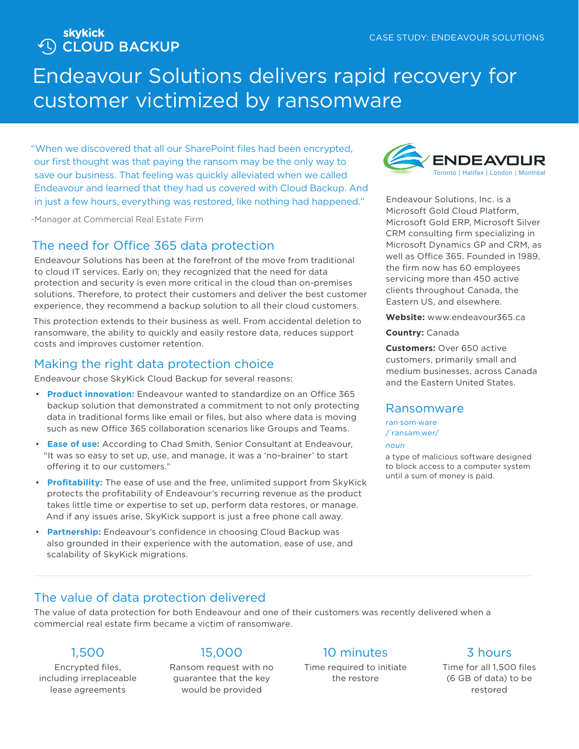**Skykick<br>
CLOUD BACKUP** 

# Endeavour Solutions delivers rapid recovery for customer victimized by ransomware

"When we discovered that all our SharePoint files had been encrypted, our first thought was that paying the ransom may be the only way to save our business. That feeling was quickly alleviated when we called Endeavour and learned that they had us covered with Cloud Backup. And in just a few hours, everything was restored, like nothing had happened."

-Manager at Commercial Real Estate Firm

# The need for Office 365 data protection

Endeavour Solutions has been at the forefront of the move from traditional to cloud IT services. Early on, they recognized that the need for data protection and security is even more critical in the cloud than on-premises solutions. Therefore, to protect their customers and deliver the best customer experience, they recommend a backup solution to all their cloud customers.

This protection extends to their business as well. From accidental deletion to ransomware, the ability to quickly and easily restore data, reduces support costs and improves customer retention.

# Making the right data protection choice

Endeavour chose SkyKick Cloud Backup for several reasons:

- **Product innovation:** Endeavour wanted to standardize on an Office 365 backup solution that demonstrated a commitment to not only protecting data in traditional forms like email or files, but also where data is moving such as new Office 365 collaboration scenarios like Groups and Teams.
- **Ease of use:** According to Chad Smith, Senior Consultant at Endeavour, "It was so easy to set up, use, and manage, it was a 'no-brainer' to start offering it to our customers."
- **Profitability:** The ease of use and the free, unlimited support from SkyKick protects the profitability of Endeavour's recurring revenue as the product takes little time or expertise to set up, perform data restores, or manage. And if any issues arise, SkyKick support is just a free phone call away.
- **Partnership:** Endeavour's confidence in choosing Cloud Backup was also grounded in their experience with the automation, ease of use, and scalability of SkyKick migrations.



Endeavour Solutions, Inc. is a Microsoft Gold Cloud Platform, Microsoft Gold ERP, Microsoft Silver CRM consulting firm specializing in Microsoft Dynamics GP and CRM, as well as Office 365. Founded in 1989, the firm now has 60 employees servicing more than 450 active clients throughout Canada, the Eastern US, and elsewhere.

**Website:** www.endeavour365.ca

**Country:** Canada

**Customers:** Over 650 active customers, primarily small and medium businesses, across Canada and the Eastern United States.

### Ransomware

ran·som·ware /**ˈ**ransəm**ˌ**wer/

#### *noun*

a type of malicious software designed to block access to a computer system until a sum of money is paid.

# The value of data protection delivered

The value of data protection for both Endeavour and one of their customers was recently delivered when a commercial real estate firm became a victim of ransomware.

# 1,500

Encrypted files, including irreplaceable lease agreements

# 15,000

Ransom request with no guarantee that the key would be provided

# 10 minutes

Time required to initiate the restore

# 3 hours

Time for all 1,500 files (6 GB of data) to be restored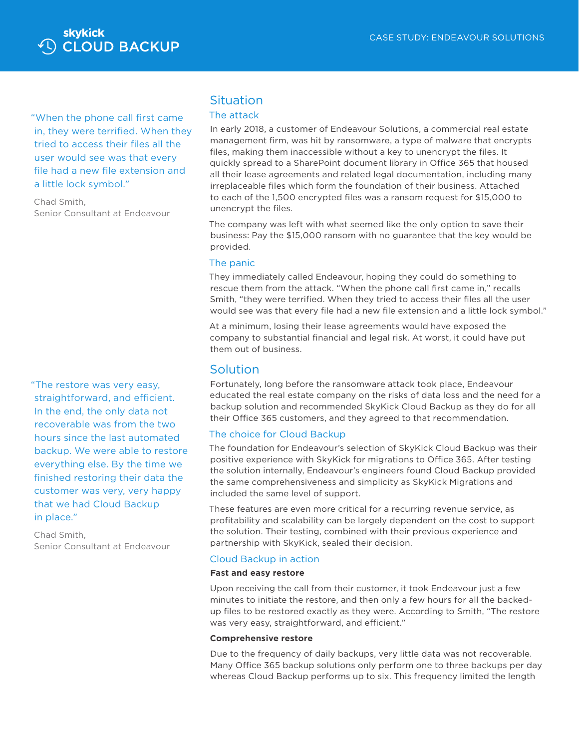

"When the phone call first came in, they were terrified. When they tried to access their files all the user would see was that every file had a new file extension and a little lock symbol."

Chad Smith, Senior Consultant at Endeavour

"The restore was very easy, straightforward, and efficient. In the end, the only data not recoverable was from the two hours since the last automated backup. We were able to restore everything else. By the time we finished restoring their data the customer was very, very happy that we had Cloud Backup in place."

Chad Smith, Senior Consultant at Endeavour

### **Situation**

### The attack

In early 2018, a customer of Endeavour Solutions, a commercial real estate management firm, was hit by ransomware, a type of malware that encrypts files, making them inaccessible without a key to unencrypt the files. It quickly spread to a SharePoint document library in Office 365 that housed all their lease agreements and related legal documentation, including many irreplaceable files which form the foundation of their business. Attached to each of the 1,500 encrypted files was a ransom request for \$15,000 to unencrypt the files.

The company was left with what seemed like the only option to save their business: Pay the \$15,000 ransom with no guarantee that the key would be provided.

#### The panic

They immediately called Endeavour, hoping they could do something to rescue them from the attack. "When the phone call first came in," recalls Smith, "they were terrified. When they tried to access their files all the user would see was that every file had a new file extension and a little lock symbol."

At a minimum, losing their lease agreements would have exposed the company to substantial financial and legal risk. At worst, it could have put them out of business.

### Solution

Fortunately, long before the ransomware attack took place, Endeavour educated the real estate company on the risks of data loss and the need for a backup solution and recommended SkyKick Cloud Backup as they do for all their Office 365 customers, and they agreed to that recommendation.

#### The choice for Cloud Backup

The foundation for Endeavour's selection of SkyKick Cloud Backup was their positive experience with SkyKick for migrations to Office 365. After testing the solution internally, Endeavour's engineers found Cloud Backup provided the same comprehensiveness and simplicity as SkyKick Migrations and included the same level of support.

These features are even more critical for a recurring revenue service, as profitability and scalability can be largely dependent on the cost to support the solution. Their testing, combined with their previous experience and partnership with SkyKick, sealed their decision.

#### Cloud Backup in action

#### **Fast and easy restore**

Upon receiving the call from their customer, it took Endeavour just a few minutes to initiate the restore, and then only a few hours for all the backedup files to be restored exactly as they were. According to Smith, "The restore was very easy, straightforward, and efficient."

#### **Comprehensive restore**

Due to the frequency of daily backups, very little data was not recoverable. Many Office 365 backup solutions only perform one to three backups per day whereas Cloud Backup performs up to six. This frequency limited the length